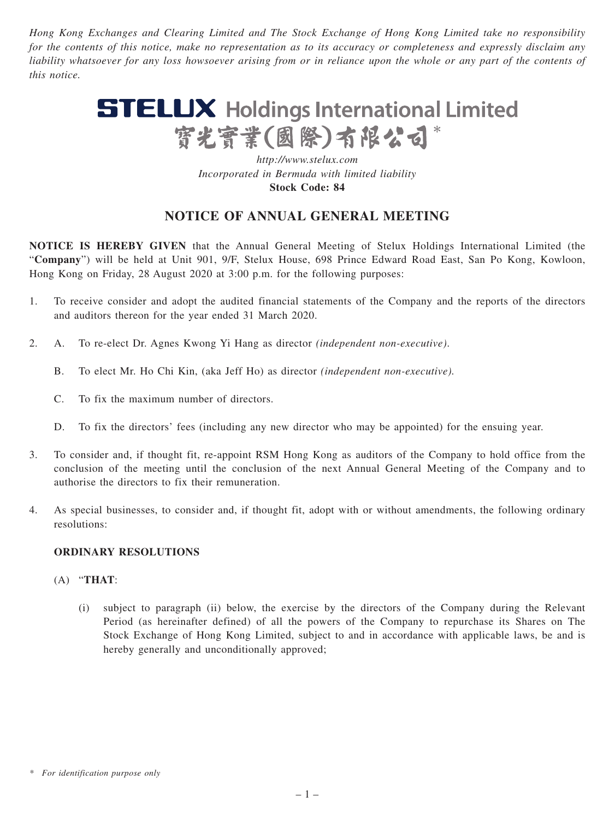*Hong Kong Exchanges and Clearing Limited and The Stock Exchange of Hong Kong Limited take no responsibility for the contents of this notice, make no representation as to its accuracy or completeness and expressly disclaim any liability whatsoever for any loss howsoever arising from or in reliance upon the whole or any part of the contents of this notice.*

# **STELUX** Holdings International Limited 寳光寳業(國際)有限公司\*

*http://www.stelux.com Incorporated in Bermuda with limited liability* **Stock Code: 84**

## **NOTICE OF ANNUAL GENERAL MEETING**

**NOTICE IS HEREBY GIVEN** that the Annual General Meeting of Stelux Holdings International Limited (the "**Company**") will be held at Unit 901, 9/F, Stelux House, 698 Prince Edward Road East, San Po Kong, Kowloon, Hong Kong on Friday, 28 August 2020 at 3:00 p.m. for the following purposes:

- 1. To receive consider and adopt the audited financial statements of the Company and the reports of the directors and auditors thereon for the year ended 31 March 2020.
- 2. A. To re-elect Dr. Agnes Kwong Yi Hang as director *(independent non-executive)*.
	- B. To elect Mr. Ho Chi Kin, (aka Jeff Ho) as director *(independent non-executive).*
	- C. To fix the maximum number of directors.
	- D. To fix the directors' fees (including any new director who may be appointed) for the ensuing year.
- 3. To consider and, if thought fit, re-appoint RSM Hong Kong as auditors of the Company to hold office from the conclusion of the meeting until the conclusion of the next Annual General Meeting of the Company and to authorise the directors to fix their remuneration.
- 4. As special businesses, to consider and, if thought fit, adopt with or without amendments, the following ordinary resolutions:

#### **ORDINARY RESOLUTIONS**

#### (A) "**THAT**:

(i) subject to paragraph (ii) below, the exercise by the directors of the Company during the Relevant Period (as hereinafter defined) of all the powers of the Company to repurchase its Shares on The Stock Exchange of Hong Kong Limited, subject to and in accordance with applicable laws, be and is hereby generally and unconditionally approved;

*<sup>\*</sup> For identification purpose only*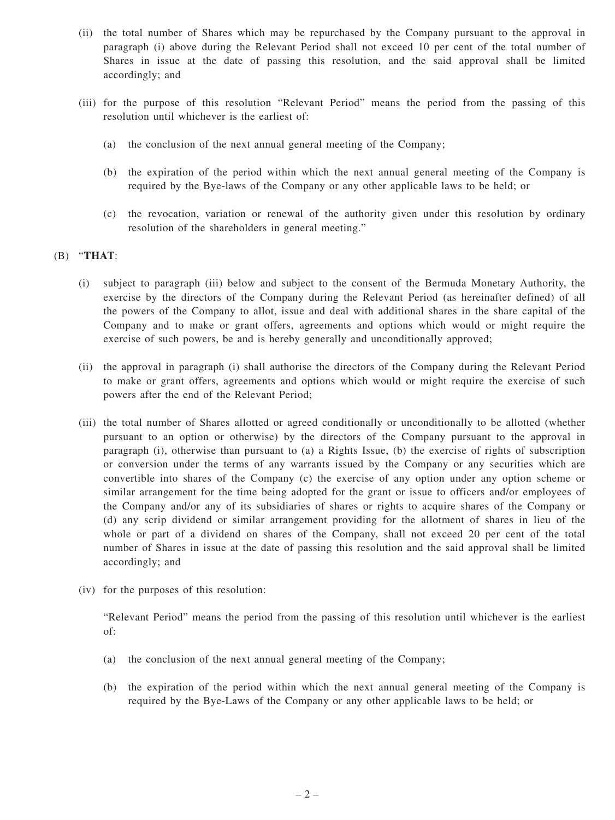- (ii) the total number of Shares which may be repurchased by the Company pursuant to the approval in paragraph (i) above during the Relevant Period shall not exceed 10 per cent of the total number of Shares in issue at the date of passing this resolution, and the said approval shall be limited accordingly; and
- (iii) for the purpose of this resolution "Relevant Period" means the period from the passing of this resolution until whichever is the earliest of:
	- (a) the conclusion of the next annual general meeting of the Company;
	- (b) the expiration of the period within which the next annual general meeting of the Company is required by the Bye-laws of the Company or any other applicable laws to be held; or
	- (c) the revocation, variation or renewal of the authority given under this resolution by ordinary resolution of the shareholders in general meeting."

### (B) "**THAT**:

- (i) subject to paragraph (iii) below and subject to the consent of the Bermuda Monetary Authority, the exercise by the directors of the Company during the Relevant Period (as hereinafter defined) of all the powers of the Company to allot, issue and deal with additional shares in the share capital of the Company and to make or grant offers, agreements and options which would or might require the exercise of such powers, be and is hereby generally and unconditionally approved;
- (ii) the approval in paragraph (i) shall authorise the directors of the Company during the Relevant Period to make or grant offers, agreements and options which would or might require the exercise of such powers after the end of the Relevant Period;
- (iii) the total number of Shares allotted or agreed conditionally or unconditionally to be allotted (whether pursuant to an option or otherwise) by the directors of the Company pursuant to the approval in paragraph (i), otherwise than pursuant to (a) a Rights Issue, (b) the exercise of rights of subscription or conversion under the terms of any warrants issued by the Company or any securities which are convertible into shares of the Company (c) the exercise of any option under any option scheme or similar arrangement for the time being adopted for the grant or issue to officers and/or employees of the Company and/or any of its subsidiaries of shares or rights to acquire shares of the Company or (d) any scrip dividend or similar arrangement providing for the allotment of shares in lieu of the whole or part of a dividend on shares of the Company, shall not exceed 20 per cent of the total number of Shares in issue at the date of passing this resolution and the said approval shall be limited accordingly; and
- (iv) for the purposes of this resolution:

"Relevant Period" means the period from the passing of this resolution until whichever is the earliest of:

- (a) the conclusion of the next annual general meeting of the Company;
- (b) the expiration of the period within which the next annual general meeting of the Company is required by the Bye-Laws of the Company or any other applicable laws to be held; or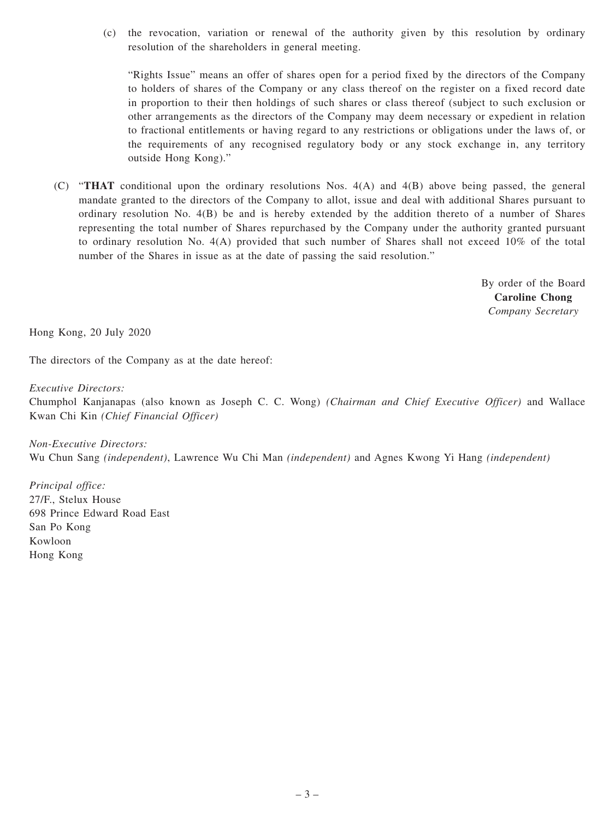(c) the revocation, variation or renewal of the authority given by this resolution by ordinary resolution of the shareholders in general meeting.

"Rights Issue" means an offer of shares open for a period fixed by the directors of the Company to holders of shares of the Company or any class thereof on the register on a fixed record date in proportion to their then holdings of such shares or class thereof (subject to such exclusion or other arrangements as the directors of the Company may deem necessary or expedient in relation to fractional entitlements or having regard to any restrictions or obligations under the laws of, or the requirements of any recognised regulatory body or any stock exchange in, any territory outside Hong Kong)."

(C) "**THAT** conditional upon the ordinary resolutions Nos. 4(A) and 4(B) above being passed, the general mandate granted to the directors of the Company to allot, issue and deal with additional Shares pursuant to ordinary resolution No. 4(B) be and is hereby extended by the addition thereto of a number of Shares representing the total number of Shares repurchased by the Company under the authority granted pursuant to ordinary resolution No. 4(A) provided that such number of Shares shall not exceed 10% of the total number of the Shares in issue as at the date of passing the said resolution."

> By order of the Board **Caroline Chong** *Company Secretary*

Hong Kong, 20 July 2020

The directors of the Company as at the date hereof:

*Executive Directors:*

Chumphol Kanjanapas (also known as Joseph C. C. Wong) *(Chairman and Chief Executive Officer)* and Wallace Kwan Chi Kin *(Chief Financial Officer)*

*Non-Executive Directors:* Wu Chun Sang *(independent)*, Lawrence Wu Chi Man *(independent)* and Agnes Kwong Yi Hang *(independent)*

*Principal office:* 27/F., Stelux House 698 Prince Edward Road East San Po Kong Kowloon Hong Kong